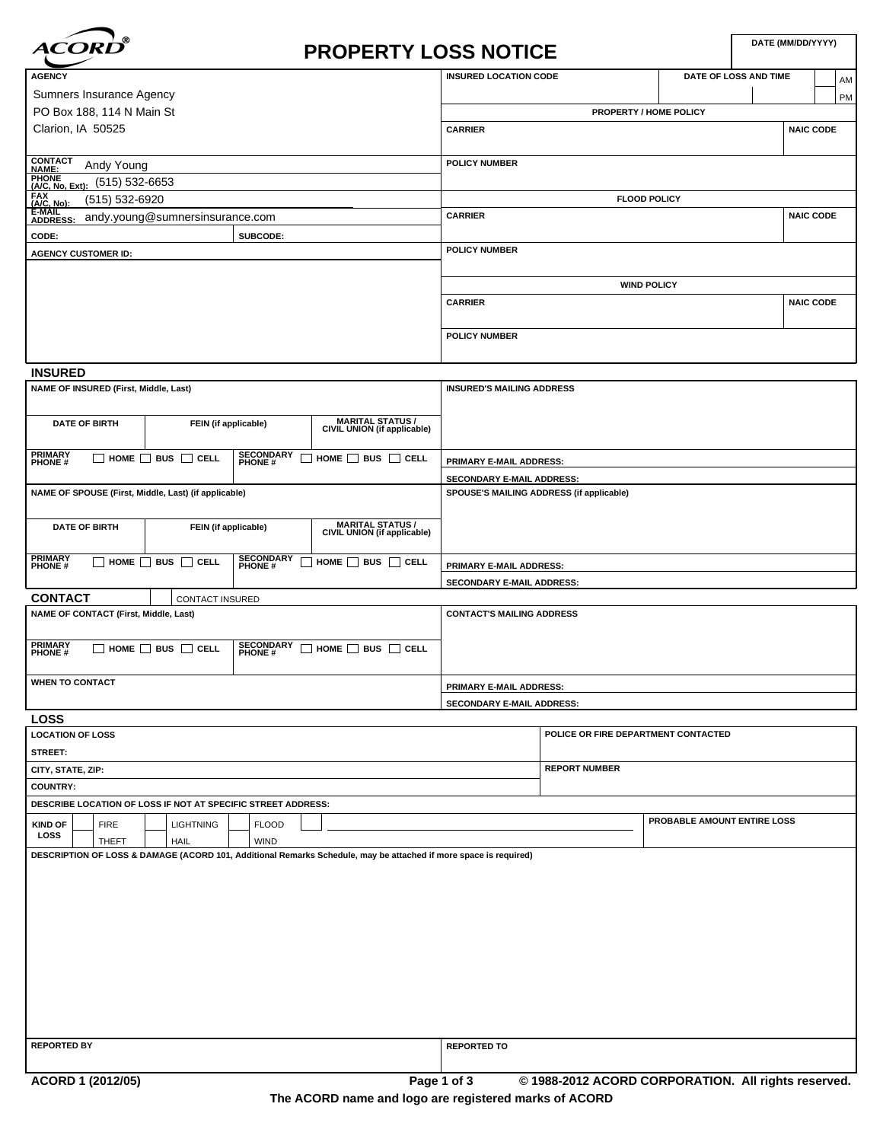

# **PROPERTY LOSS NOTICE**

| <b>AGENCY</b>                                                                                                   |          | <b>INSURED LOCATION CODE</b><br>DATE OF LOSS AND TIME |  |                  |  |  |
|-----------------------------------------------------------------------------------------------------------------|----------|-------------------------------------------------------|--|------------------|--|--|
| Sumners Insurance Agency                                                                                        |          |                                                       |  | <b>PM</b>        |  |  |
| PO Box 188, 114 N Main St                                                                                       |          | <b>PROPERTY / HOME POLICY</b>                         |  |                  |  |  |
| Clarion, IA 50525                                                                                               |          | <b>CARRIER</b>                                        |  | <b>NAIC CODE</b> |  |  |
|                                                                                                                 |          |                                                       |  |                  |  |  |
| CONTACT<br>NAME:<br>Andy Young                                                                                  |          | <b>POLICY NUMBER</b>                                  |  |                  |  |  |
| (515) 532-6653                                                                                                  |          |                                                       |  |                  |  |  |
| (515) 532-6920                                                                                                  |          | <b>FLOOD POLICY</b>                                   |  |                  |  |  |
| <b>EXAMPLE:</b><br>(A/C, No, Ext):<br>(A/C, No): (5<br>E-MAIL<br>ADDRESS: ar<br>andy.young@sumnersinsurance.com |          | <b>CARRIER</b>                                        |  | <b>NAIC CODE</b> |  |  |
| CODE:                                                                                                           | SUBCODE: |                                                       |  |                  |  |  |
| <b>AGENCY CUSTOMER ID:</b>                                                                                      |          | <b>POLICY NUMBER</b>                                  |  |                  |  |  |
|                                                                                                                 |          |                                                       |  |                  |  |  |
|                                                                                                                 |          | <b>WIND POLICY</b>                                    |  |                  |  |  |
|                                                                                                                 |          | <b>CARRIER</b>                                        |  | <b>NAIC CODE</b> |  |  |
|                                                                                                                 |          |                                                       |  |                  |  |  |
|                                                                                                                 |          | <b>POLICY NUMBER</b>                                  |  |                  |  |  |
|                                                                                                                 |          |                                                       |  |                  |  |  |

| <b>INSURED'S MAILING ADDRESS</b>                                               |  |  |  |  |
|--------------------------------------------------------------------------------|--|--|--|--|
|                                                                                |  |  |  |  |
|                                                                                |  |  |  |  |
| <b>PRIMARY E-MAIL ADDRESS:</b>                                                 |  |  |  |  |
| <b>SECONDARY E-MAIL ADDRESS:</b>                                               |  |  |  |  |
| SPOUSE'S MAILING ADDRESS (if applicable)                                       |  |  |  |  |
|                                                                                |  |  |  |  |
|                                                                                |  |  |  |  |
|                                                                                |  |  |  |  |
| <b>PRIMARY E-MAIL ADDRESS:</b>                                                 |  |  |  |  |
| SECONDARY E-MAIL ADDRESS:                                                      |  |  |  |  |
|                                                                                |  |  |  |  |
| <b>CONTACT'S MAILING ADDRESS</b>                                               |  |  |  |  |
|                                                                                |  |  |  |  |
|                                                                                |  |  |  |  |
|                                                                                |  |  |  |  |
| <b>PRIMARY E-MAIL ADDRESS:</b>                                                 |  |  |  |  |
| <b>SECONDARY E-MAIL ADDRESS:</b>                                               |  |  |  |  |
|                                                                                |  |  |  |  |
| CIVIL UNION (if applicable)<br>MARITAL STATUS /<br>CIVIL UNION (if applicable) |  |  |  |  |

| <b>LOCATION OF LOSS</b> |  |                   |  |                                                              |  |              |  |                                                                                                                  | POLICE OR FIRE DEPARTMENT CONTACTED |  |  |                                                     |
|-------------------------|--|-------------------|--|--------------------------------------------------------------|--|--------------|--|------------------------------------------------------------------------------------------------------------------|-------------------------------------|--|--|-----------------------------------------------------|
| <b>STREET:</b>          |  |                   |  |                                                              |  |              |  |                                                                                                                  |                                     |  |  |                                                     |
| CITY, STATE, ZIP:       |  |                   |  |                                                              |  |              |  | <b>REPORT NUMBER</b>                                                                                             |                                     |  |  |                                                     |
| <b>COUNTRY:</b>         |  |                   |  |                                                              |  |              |  |                                                                                                                  |                                     |  |  |                                                     |
|                         |  |                   |  | DESCRIBE LOCATION OF LOSS IF NOT AT SPECIFIC STREET ADDRESS: |  |              |  |                                                                                                                  |                                     |  |  |                                                     |
| <b>KIND OF</b>          |  | <b>FIRE</b>       |  | <b>LIGHTNING</b>                                             |  | <b>FLOOD</b> |  |                                                                                                                  |                                     |  |  | PROBABLE AMOUNT ENTIRE LOSS                         |
| LOSS                    |  | <b>THEFT</b>      |  | HAIL                                                         |  | <b>WIND</b>  |  |                                                                                                                  |                                     |  |  |                                                     |
|                         |  |                   |  |                                                              |  |              |  | DESCRIPTION OF LOSS & DAMAGE (ACORD 101, Additional Remarks Schedule, may be attached if more space is required) |                                     |  |  |                                                     |
|                         |  |                   |  |                                                              |  |              |  |                                                                                                                  |                                     |  |  |                                                     |
|                         |  |                   |  |                                                              |  |              |  |                                                                                                                  |                                     |  |  |                                                     |
|                         |  |                   |  |                                                              |  |              |  |                                                                                                                  |                                     |  |  |                                                     |
|                         |  |                   |  |                                                              |  |              |  |                                                                                                                  |                                     |  |  |                                                     |
|                         |  |                   |  |                                                              |  |              |  |                                                                                                                  |                                     |  |  |                                                     |
|                         |  |                   |  |                                                              |  |              |  |                                                                                                                  |                                     |  |  |                                                     |
|                         |  |                   |  |                                                              |  |              |  |                                                                                                                  |                                     |  |  |                                                     |
|                         |  |                   |  |                                                              |  |              |  |                                                                                                                  |                                     |  |  |                                                     |
|                         |  |                   |  |                                                              |  |              |  |                                                                                                                  |                                     |  |  |                                                     |
|                         |  |                   |  |                                                              |  |              |  |                                                                                                                  |                                     |  |  |                                                     |
|                         |  |                   |  |                                                              |  |              |  |                                                                                                                  |                                     |  |  |                                                     |
| <b>REPORTED BY</b>      |  |                   |  |                                                              |  |              |  |                                                                                                                  | <b>REPORTED TO</b>                  |  |  |                                                     |
|                         |  |                   |  |                                                              |  |              |  |                                                                                                                  |                                     |  |  |                                                     |
|                         |  | ACORD 1 (2012/05) |  |                                                              |  |              |  |                                                                                                                  | Page 1 of 3                         |  |  | © 1988-2012 ACORD CORPORATION. All rights reserved. |

**The ACORD name and logo are registered marks of ACORD**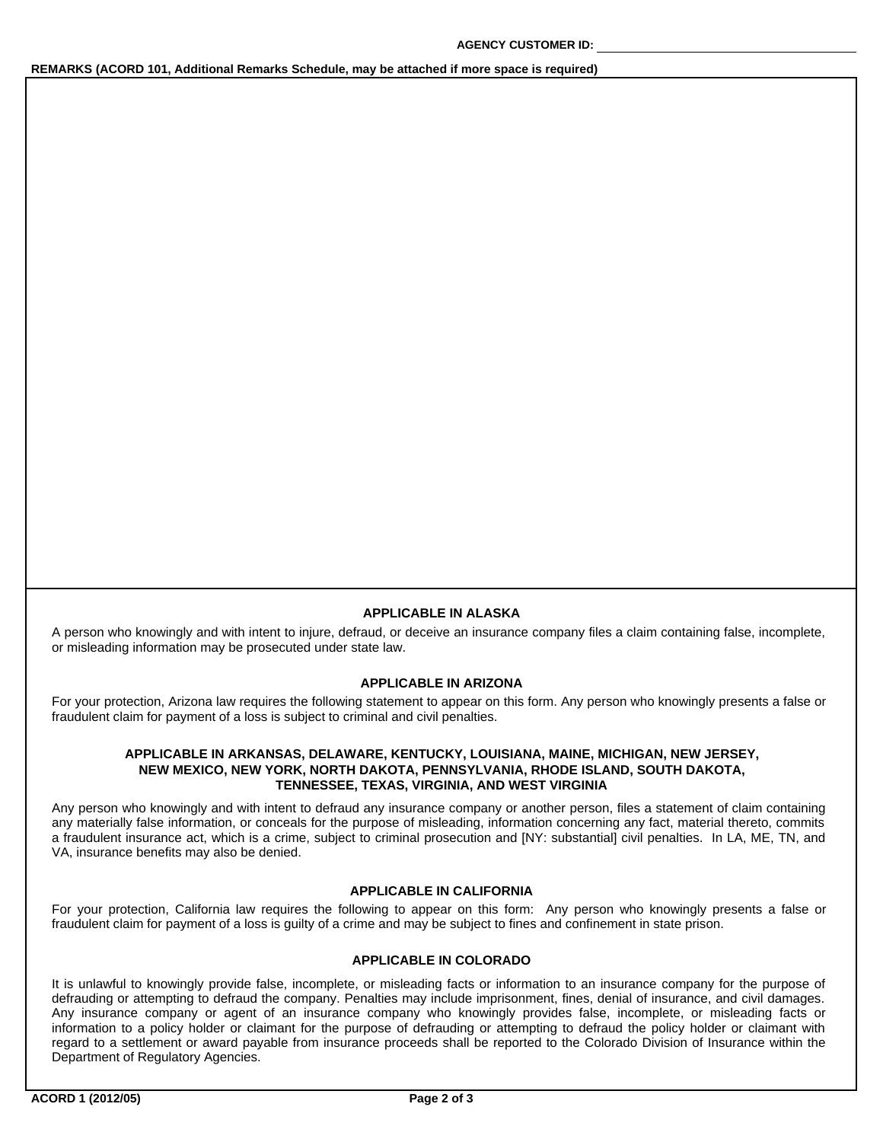# **REMARKS (ACORD 101, Additional Remarks Schedule, may be attached if more space is required)**

#### **APPLICABLE IN ALASKA**

A person who knowingly and with intent to injure, defraud, or deceive an insurance company files a claim containing false, incomplete, or misleading information may be prosecuted under state law.

# **APPLICABLE IN ARIZONA**

For your protection, Arizona law requires the following statement to appear on this form. Any person who knowingly presents a false or fraudulent claim for payment of a loss is subject to criminal and civil penalties.

## **APPLICABLE IN ARKANSAS, DELAWARE, KENTUCKY, LOUISIANA, MAINE, MICHIGAN, NEW JERSEY, NEW MEXICO, NEW YORK, NORTH DAKOTA, PENNSYLVANIA, RHODE ISLAND, SOUTH DAKOTA, TENNESSEE, TEXAS, VIRGINIA, AND WEST VIRGINIA**

Any person who knowingly and with intent to defraud any insurance company or another person, files a statement of claim containing any materially false information, or conceals for the purpose of misleading, information concerning any fact, material thereto, commits a fraudulent insurance act, which is a crime, subject to criminal prosecution and [NY: substantial] civil penalties. In LA, ME, TN, and VA, insurance benefits may also be denied.

### **APPLICABLE IN CALIFORNIA**

For your protection, California law requires the following to appear on this form: Any person who knowingly presents a false or fraudulent claim for payment of a loss is guilty of a crime and may be subject to fines and confinement in state prison.

# **APPLICABLE IN COLORADO**

It is unlawful to knowingly provide false, incomplete, or misleading facts or information to an insurance company for the purpose of defrauding or attempting to defraud the company. Penalties may include imprisonment, fines, denial of insurance, and civil damages. Any insurance company or agent of an insurance company who knowingly provides false, incomplete, or misleading facts or information to a policy holder or claimant for the purpose of defrauding or attempting to defraud the policy holder or claimant with regard to a settlement or award payable from insurance proceeds shall be reported to the Colorado Division of Insurance within the Department of Regulatory Agencies.